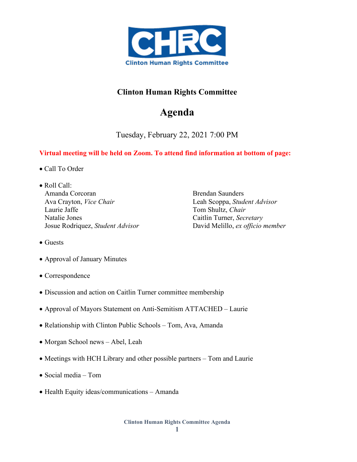

## **Clinton Human Rights Committee**

## **Agenda**

Tuesday, February 22, 2021 7:00 PM

## **Virtual meeting will be held on Zoom. To attend find information at bottom of page:**

- Call To Order
- Roll Call: Amanda Corcoran Ava Crayton, *Vice Chair* Laurie Jaffe Natalie Jones Josue Rodriquez, *Student Advisor*

Brendan Saunders Leah Scoppa, *Student Advisor*  Tom Shultz, *Chair* Caitlin Turner, *Secretary* David Melillo, *ex officio member*

- Guests
- Approval of January Minutes
- Correspondence
- Discussion and action on Caitlin Turner committee membership
- Approval of Mayors Statement on Anti-Semitism ATTACHED Laurie
- Relationship with Clinton Public Schools Tom, Ava, Amanda
- Morgan School news Abel, Leah
- Meetings with HCH Library and other possible partners Tom and Laurie
- Social media Tom
- Health Equity ideas/communications Amanda

**Clinton Human Rights Committee Agenda**